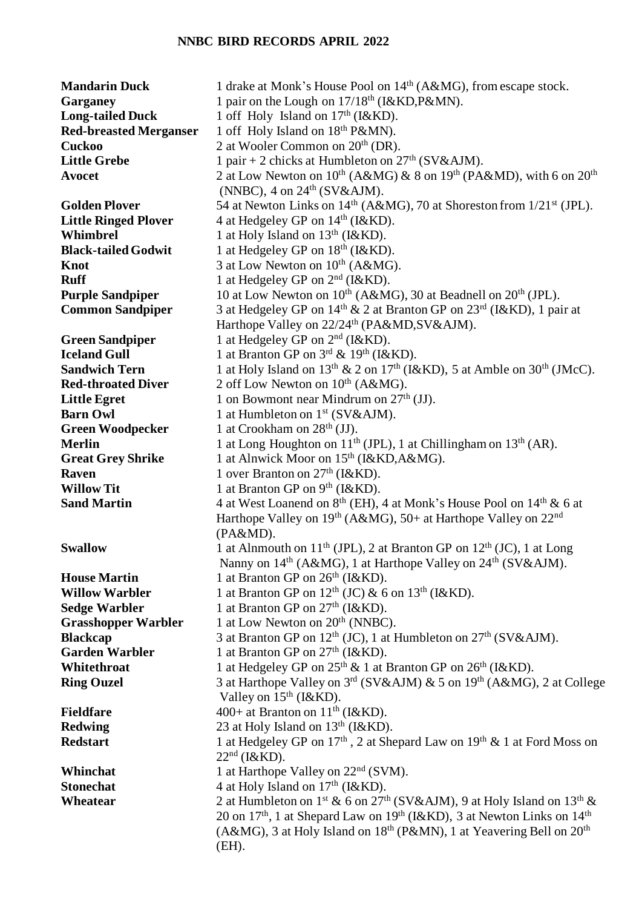## **NNBC BIRD RECORDS APRIL 2022**

| <b>Mandarin Duck</b>          | 1 drake at Monk's House Pool on 14 <sup>th</sup> (A&MG), from escape stock.                                 |
|-------------------------------|-------------------------------------------------------------------------------------------------------------|
| Garganey                      | 1 pair on the Lough on 17/18 <sup>th</sup> (I&KD, P&MN).                                                    |
| <b>Long-tailed Duck</b>       | 1 off Holy Island on 17 <sup>th</sup> (I&KD).                                                               |
| <b>Red-breasted Merganser</b> | 1 off Holy Island on 18 <sup>th</sup> P&MN).                                                                |
| <b>Cuckoo</b>                 | 2 at Wooler Common on 20 <sup>th</sup> (DR).                                                                |
| <b>Little Grebe</b>           | 1 pair + 2 chicks at Humbleton on $27th$ (SV&AJM).                                                          |
| <b>Avocet</b>                 | 2 at Low Newton on 10 <sup>th</sup> (A&MG) & 8 on 19 <sup>th</sup> (PA&MD), with 6 on 20 <sup>th</sup>      |
|                               | (NNBC), $4 \text{ on } 24^{\text{th}}$ (SV&AJM).                                                            |
| <b>Golden Plover</b>          | 54 at Newton Links on 14 <sup>th</sup> (A&MG), 70 at Shoreston from 1/21 <sup>st</sup> (JPL).               |
| <b>Little Ringed Plover</b>   | 4 at Hedgeley GP on 14 <sup>th</sup> (I&KD).                                                                |
| Whimbrel                      | 1 at Holy Island on $13th$ (I&KD).                                                                          |
| <b>Black-tailed Godwit</b>    | 1 at Hedgeley GP on 18 <sup>th</sup> (I&KD).                                                                |
| <b>Knot</b>                   | 3 at Low Newton on 10 <sup>th</sup> (A&MG).                                                                 |
| <b>Ruff</b>                   | 1 at Hedgeley GP on $2nd$ (I&KD).                                                                           |
| <b>Purple Sandpiper</b>       | 10 at Low Newton on 10 <sup>th</sup> (A&MG), 30 at Beadnell on 20 <sup>th</sup> (JPL).                      |
| <b>Common Sandpiper</b>       | 3 at Hedgeley GP on 14 <sup>th</sup> & 2 at Branton GP on 23 <sup>rd</sup> (I&KD), 1 pair at                |
|                               | Harthope Valley on 22/24 <sup>th</sup> (PA&MD, SV&AJM).                                                     |
| <b>Green Sandpiper</b>        | 1 at Hedgeley GP on 2 <sup>nd</sup> (I&KD).                                                                 |
| <b>Iceland Gull</b>           | 1 at Branton GP on $3^{\text{rd}}$ & $19^{\text{th}}$ (I&KD).                                               |
| <b>Sandwich Tern</b>          | 1 at Holy Island on $13th$ & 2 on $17th$ (I&KD), 5 at Amble on $30th$ (JMcC).                               |
| <b>Red-throated Diver</b>     | 2 off Low Newton on 10 <sup>th</sup> (A&MG).                                                                |
| <b>Little Egret</b>           | 1 on Bowmont near Mindrum on $27th$ (JJ).                                                                   |
| <b>Barn Owl</b>               | 1 at Humbleton on 1 <sup>st</sup> (SV&AJM).                                                                 |
| <b>Green Woodpecker</b>       | 1 at Crookham on $28th$ (JJ).                                                                               |
| <b>Merlin</b>                 | 1 at Long Houghton on 11 <sup>th</sup> (JPL), 1 at Chillingham on 13 <sup>th</sup> (AR).                    |
| <b>Great Grey Shrike</b>      | 1 at Alnwick Moor on 15 <sup>th</sup> (I&KD, A&MG).                                                         |
| <b>Raven</b>                  | 1 over Branton on $27th$ (I&KD).                                                                            |
| <b>Willow Tit</b>             | 1 at Branton GP on $9th$ (I&KD).                                                                            |
| <b>Sand Martin</b>            | 4 at West Loanend on 8 <sup>th</sup> (EH), 4 at Monk's House Pool on 14 <sup>th</sup> & 6 at                |
|                               | Harthope Valley on 19th (A&MG), 50+ at Harthope Valley on 22nd                                              |
|                               | $(PA\&MD).$                                                                                                 |
| <b>Swallow</b>                | 1 at Alnmouth on $11^{th}$ (JPL), 2 at Branton GP on $12^{th}$ (JC), 1 at Long                              |
|                               | Nanny on 14 <sup>th</sup> (A&MG), 1 at Harthope Valley on 24 <sup>th</sup> (SV&AJM).                        |
| <b>House Martin</b>           | 1 at Branton GP on $26th$ (I&KD).                                                                           |
| <b>Willow Warbler</b>         | 1 at Branton GP on $12^{th}$ (JC) & 6 on $13^{th}$ (I&KD).                                                  |
| <b>Sedge Warbler</b>          | 1 at Branton GP on $27th$ (I&KD).                                                                           |
| <b>Grasshopper Warbler</b>    | 1 at Low Newton on 20 <sup>th</sup> (NNBC).                                                                 |
| <b>Blackcap</b>               | 3 at Branton GP on 12 <sup>th</sup> (JC), 1 at Humbleton on 27 <sup>th</sup> (SV&AJM).                      |
| <b>Garden Warbler</b>         | 1 at Branton GP on 27 <sup>th</sup> (I&KD).                                                                 |
| Whitethroat                   | 1 at Hedgeley GP on $25^{th}$ & 1 at Branton GP on $26^{th}$ (I&KD).                                        |
| <b>Ring Ouzel</b>             | 3 at Harthope Valley on 3rd (SV&AJM) & 5 on 19th (A&MG), 2 at College                                       |
|                               | Valley on $15th$ (I&KD).                                                                                    |
| <b>Fieldfare</b>              | 400+ at Branton on $11th$ (I&KD).                                                                           |
| <b>Redwing</b>                | 23 at Holy Island on 13 <sup>th</sup> (I&KD).                                                               |
| <b>Redstart</b>               | 1 at Hedgeley GP on $17th$ , 2 at Shepard Law on $19th$ & 1 at Ford Moss on                                 |
|                               | $22nd$ (I&KD).                                                                                              |
| Whinchat                      | 1 at Harthope Valley on 22 <sup>nd</sup> (SVM).                                                             |
| <b>Stonechat</b>              | 4 at Holy Island on $17th$ (I&KD).                                                                          |
| Wheatear                      | 2 at Humbleton on 1 <sup>st</sup> & 6 on 27 <sup>th</sup> (SV&AJM), 9 at Holy Island on 13 <sup>th</sup> &  |
|                               | 20 on 17 <sup>th</sup> , 1 at Shepard Law on 19 <sup>th</sup> (I&KD), 3 at Newton Links on 14 <sup>th</sup> |
|                               | (A&MG), 3 at Holy Island on $18th$ (P&MN), 1 at Yeavering Bell on $20th$                                    |
|                               | $(EH)$ .                                                                                                    |